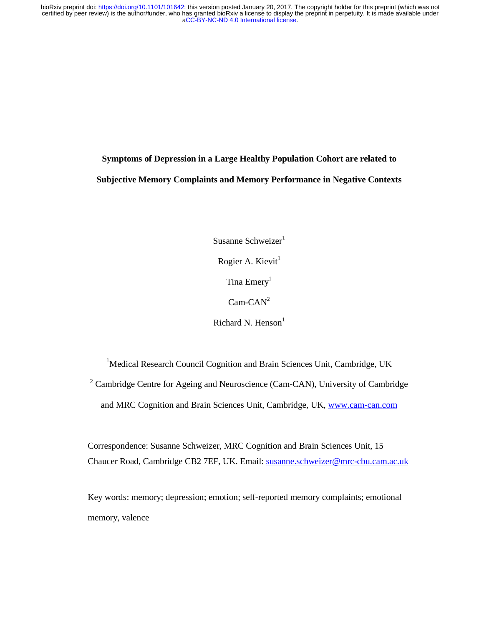**Symptoms of Depression in a Large Healthy Population Cohort are related to Subjective Memory Complaints and Memory Performance in Negative Contexts** 

> Susanne Schweizer $1$ Rogier A. Kievit $<sup>1</sup>$ </sup> Tina Emery<sup>1</sup>  $Cam-CAN<sup>2</sup>$ Richard N. Henson $<sup>1</sup>$ </sup>

<sup>1</sup>Medical Research Council Cognition and Brain Sciences Unit, Cambridge, UK <sup>2</sup> Cambridge Centre for Ageing and Neuroscience (Cam-CAN), University of Cambridge and MRC Cognition and Brain Sciences Unit, Cambridge, UK, www.cam-can.com

Correspondence: Susanne Schweizer, MRC Cognition and Brain Sciences Unit, 15 Chaucer Road, Cambridge CB2 7EF, UK. Email: susanne.schweizer@mrc-cbu.cam.ac.uk

Key words: memory; depression; emotion; self-reported memory complaints; emotional memory, valence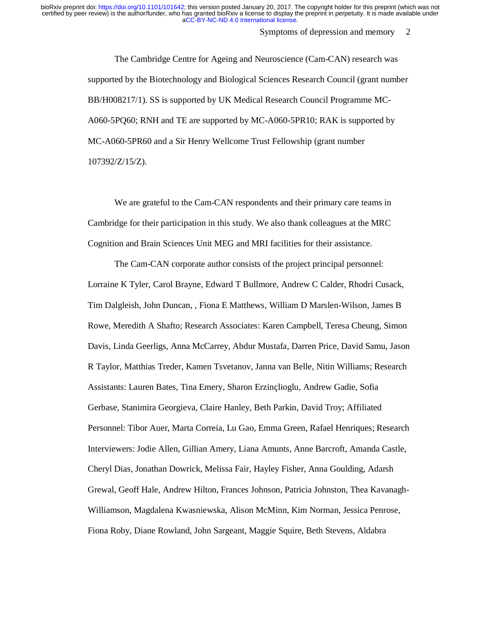Symptoms of depression and memory 2

The Cambridge Centre for Ageing and Neuroscience (Cam-CAN) research was supported by the Biotechnology and Biological Sciences Research Council (grant number BB/H008217/1). SS is supported by UK Medical Research Council Programme MC-A060-5PQ60; RNH and TE are supported by MC-A060-5PR10; RAK is supported by MC-A060-5PR60 and a Sir Henry Wellcome Trust Fellowship (grant number 107392/Z/15/Z).

We are grateful to the Cam-CAN respondents and their primary care teams in Cambridge for their participation in this study. We also thank colleagues at the MRC Cognition and Brain Sciences Unit MEG and MRI facilities for their assistance.

The Cam-CAN corporate author consists of the project principal personnel: Lorraine K Tyler, Carol Brayne, Edward T Bullmore, Andrew C Calder, Rhodri Cusack, Tim Dalgleish, John Duncan, , Fiona E Matthews, William D Marslen-Wilson, James B Rowe, Meredith A Shafto; Research Associates: Karen Campbell, Teresa Cheung, Simon Davis, Linda Geerligs, Anna McCarrey, Abdur Mustafa, Darren Price, David Samu, Jason R Taylor, Matthias Treder, Kamen Tsvetanov, Janna van Belle, Nitin Williams; Research Assistants: Lauren Bates, Tina Emery, Sharon Erzinçlioglu, Andrew Gadie, Sofia Gerbase, Stanimira Georgieva, Claire Hanley, Beth Parkin, David Troy; Affiliated Personnel: Tibor Auer, Marta Correia, Lu Gao, Emma Green, Rafael Henriques; Research Interviewers: Jodie Allen, Gillian Amery, Liana Amunts, Anne Barcroft, Amanda Castle, Cheryl Dias, Jonathan Dowrick, Melissa Fair, Hayley Fisher, Anna Goulding, Adarsh Grewal, Geoff Hale, Andrew Hilton, Frances Johnson, Patricia Johnston, Thea Kavanagh-Williamson, Magdalena Kwasniewska, Alison McMinn, Kim Norman, Jessica Penrose, Fiona Roby, Diane Rowland, John Sargeant, Maggie Squire, Beth Stevens, Aldabra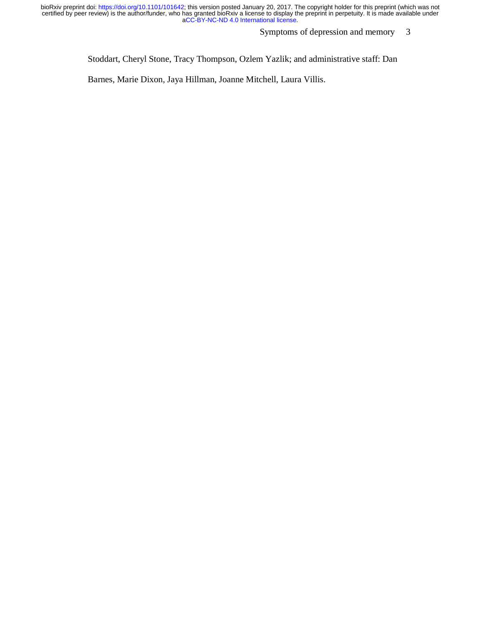Symptoms of depression and memory 3

Stoddart, Cheryl Stone, Tracy Thompson, Ozlem Yazlik; and administrative staff: Dan

Barnes, Marie Dixon, Jaya Hillman, Joanne Mitchell, Laura Villis.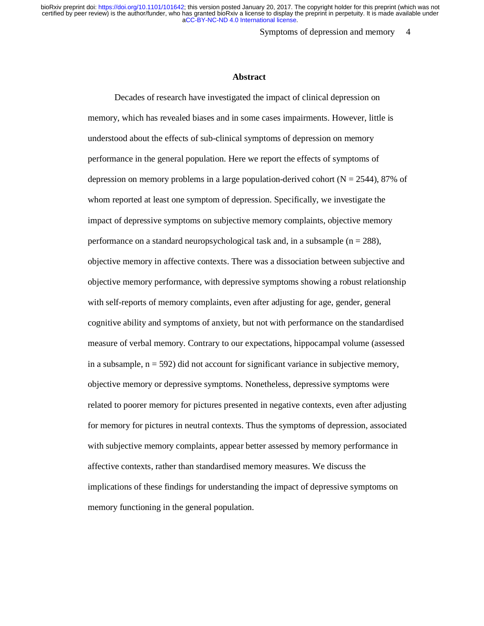Symptoms of depression and memory 4

#### **Abstract**

Decades of research have investigated the impact of clinical depression on memory, which has revealed biases and in some cases impairments. However, little is understood about the effects of sub-clinical symptoms of depression on memory performance in the general population. Here we report the effects of symptoms of depression on memory problems in a large population-derived cohort ( $N = 2544$ ), 87% of whom reported at least one symptom of depression. Specifically, we investigate the impact of depressive symptoms on subjective memory complaints, objective memory performance on a standard neuropsychological task and, in a subsample ( $n = 288$ ), objective memory in affective contexts. There was a dissociation between subjective and objective memory performance, with depressive symptoms showing a robust relationship with self-reports of memory complaints, even after adjusting for age, gender, general cognitive ability and symptoms of anxiety, but not with performance on the standardised measure of verbal memory. Contrary to our expectations, hippocampal volume (assessed in a subsample,  $n = 592$ ) did not account for significant variance in subjective memory, objective memory or depressive symptoms. Nonetheless, depressive symptoms were related to poorer memory for pictures presented in negative contexts, even after adjusting for memory for pictures in neutral contexts. Thus the symptoms of depression, associated with subjective memory complaints, appear better assessed by memory performance in affective contexts, rather than standardised memory measures. We discuss the implications of these findings for understanding the impact of depressive symptoms on memory functioning in the general population.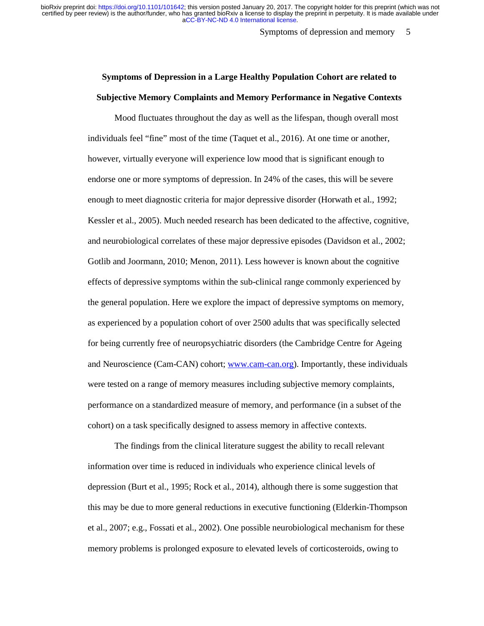Symptoms of depression and memory 5

# **Symptoms of Depression in a Large Healthy Population Cohort are related to Subjective Memory Complaints and Memory Performance in Negative Contexts**

Mood fluctuates throughout the day as well as the lifespan, though overall most individuals feel "fine" most of the time (Taquet et al., 2016). At one time or another, however, virtually everyone will experience low mood that is significant enough to endorse one or more symptoms of depression. In 24% of the cases, this will be severe enough to meet diagnostic criteria for major depressive disorder (Horwath et al., 1992; Kessler et al., 2005). Much needed research has been dedicated to the affective, cognitive, and neurobiological correlates of these major depressive episodes (Davidson et al., 2002; Gotlib and Joormann, 2010; Menon, 2011). Less however is known about the cognitive effects of depressive symptoms within the sub-clinical range commonly experienced by the general population. Here we explore the impact of depressive symptoms on memory, as experienced by a population cohort of over 2500 adults that was specifically selected for being currently free of neuropsychiatric disorders (the Cambridge Centre for Ageing and Neuroscience (Cam-CAN) cohort; www.cam-can.org). Importantly, these individuals were tested on a range of memory measures including subjective memory complaints, performance on a standardized measure of memory, and performance (in a subset of the cohort) on a task specifically designed to assess memory in affective contexts.

The findings from the clinical literature suggest the ability to recall relevant information over time is reduced in individuals who experience clinical levels of depression (Burt et al., 1995; Rock et al., 2014), although there is some suggestion that this may be due to more general reductions in executive functioning (Elderkin-Thompson et al., 2007; e.g., Fossati et al., 2002). One possible neurobiological mechanism for these memory problems is prolonged exposure to elevated levels of corticosteroids, owing to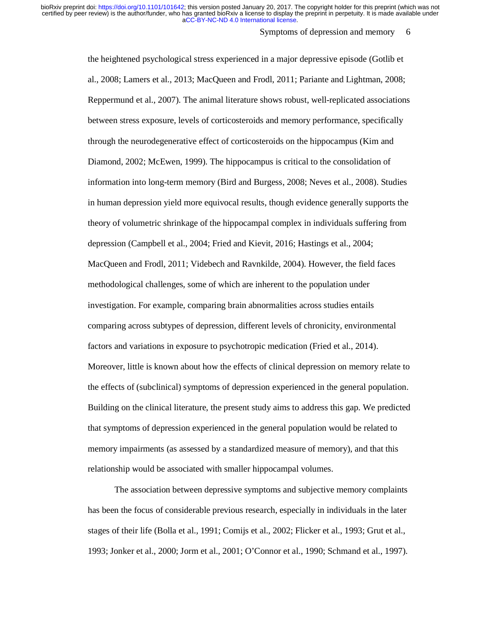#### Symptoms of depression and memory 6

the heightened psychological stress experienced in a major depressive episode (Gotlib et al., 2008; Lamers et al., 2013; MacQueen and Frodl, 2011; Pariante and Lightman, 2008; Reppermund et al., 2007). The animal literature shows robust, well-replicated associations between stress exposure, levels of corticosteroids and memory performance, specifically through the neurodegenerative effect of corticosteroids on the hippocampus (Kim and Diamond, 2002; McEwen, 1999). The hippocampus is critical to the consolidation of information into long-term memory (Bird and Burgess, 2008; Neves et al., 2008). Studies in human depression yield more equivocal results, though evidence generally supports the theory of volumetric shrinkage of the hippocampal complex in individuals suffering from depression (Campbell et al., 2004; Fried and Kievit, 2016; Hastings et al., 2004; MacQueen and Frodl, 2011; Videbech and Ravnkilde, 2004). However, the field faces methodological challenges, some of which are inherent to the population under investigation. For example, comparing brain abnormalities across studies entails comparing across subtypes of depression, different levels of chronicity, environmental factors and variations in exposure to psychotropic medication (Fried et al., 2014). Moreover, little is known about how the effects of clinical depression on memory relate to the effects of (subclinical) symptoms of depression experienced in the general population. Building on the clinical literature, the present study aims to address this gap. We predicted that symptoms of depression experienced in the general population would be related to memory impairments (as assessed by a standardized measure of memory), and that this relationship would be associated with smaller hippocampal volumes.

The association between depressive symptoms and subjective memory complaints has been the focus of considerable previous research, especially in individuals in the later stages of their life (Bolla et al., 1991; Comijs et al., 2002; Flicker et al., 1993; Grut et al., 1993; Jonker et al., 2000; Jorm et al., 2001; O'Connor et al., 1990; Schmand et al., 1997).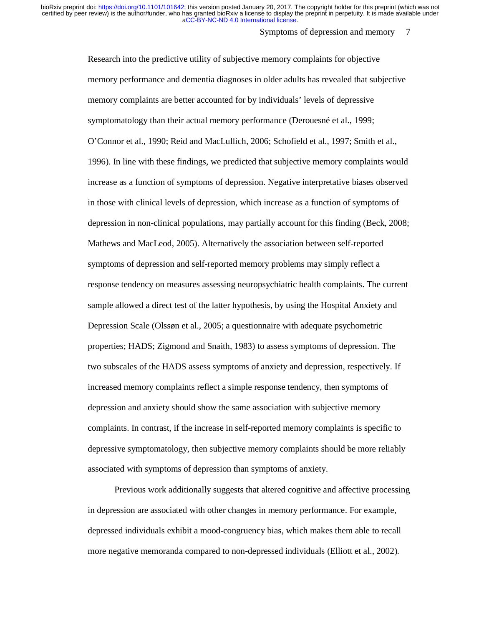Symptoms of depression and memory 7

Research into the predictive utility of subjective memory complaints for objective memory performance and dementia diagnoses in older adults has revealed that subjective memory complaints are better accounted for by individuals' levels of depressive symptomatology than their actual memory performance (Derouesné et al., 1999; O'Connor et al., 1990; Reid and MacLullich, 2006; Schofield et al., 1997; Smith et al., 1996). In line with these findings, we predicted that subjective memory complaints would increase as a function of symptoms of depression. Negative interpretative biases observed in those with clinical levels of depression, which increase as a function of symptoms of depression in non-clinical populations, may partially account for this finding (Beck, 2008; Mathews and MacLeod, 2005). Alternatively the association between self-reported symptoms of depression and self-reported memory problems may simply reflect a response tendency on measures assessing neuropsychiatric health complaints. The current sample allowed a direct test of the latter hypothesis, by using the Hospital Anxiety and Depression Scale (Olssøn et al., 2005; a questionnaire with adequate psychometric properties; HADS; Zigmond and Snaith, 1983) to assess symptoms of depression. The two subscales of the HADS assess symptoms of anxiety and depression, respectively. If increased memory complaints reflect a simple response tendency, then symptoms of depression and anxiety should show the same association with subjective memory complaints. In contrast, if the increase in self-reported memory complaints is specific to depressive symptomatology, then subjective memory complaints should be more reliably associated with symptoms of depression than symptoms of anxiety.

Previous work additionally suggests that altered cognitive and affective processing in depression are associated with other changes in memory performance. For example, depressed individuals exhibit a mood-congruency bias, which makes them able to recall more negative memoranda compared to non-depressed individuals (Elliott et al., 2002).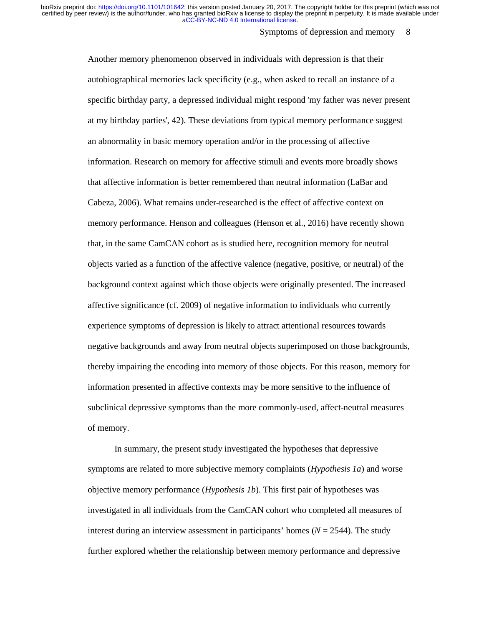#### Symptoms of depression and memory 8

Another memory phenomenon observed in individuals with depression is that their autobiographical memories lack specificity (e.g., when asked to recall an instance of a specific birthday party, a depressed individual might respond 'my father was never present at my birthday parties', 42). These deviations from typical memory performance suggest an abnormality in basic memory operation and/or in the processing of affective information. Research on memory for affective stimuli and events more broadly shows that affective information is better remembered than neutral information (LaBar and Cabeza, 2006). What remains under-researched is the effect of affective context on memory performance. Henson and colleagues (Henson et al., 2016) have recently shown that, in the same CamCAN cohort as is studied here, recognition memory for neutral objects varied as a function of the affective valence (negative, positive, or neutral) of the background context against which those objects were originally presented. The increased affective significance (cf. 2009) of negative information to individuals who currently experience symptoms of depression is likely to attract attentional resources towards negative backgrounds and away from neutral objects superimposed on those backgrounds, thereby impairing the encoding into memory of those objects. For this reason, memory for information presented in affective contexts may be more sensitive to the influence of subclinical depressive symptoms than the more commonly-used, affect-neutral measures of memory.

In summary, the present study investigated the hypotheses that depressive symptoms are related to more subjective memory complaints (*Hypothesis 1a*) and worse objective memory performance (*Hypothesis 1b*). This first pair of hypotheses was investigated in all individuals from the CamCAN cohort who completed all measures of interest during an interview assessment in participants' homes (*N* = 2544). The study further explored whether the relationship between memory performance and depressive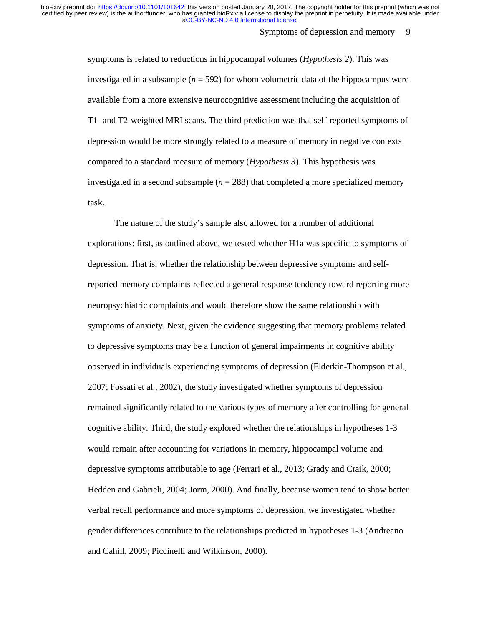#### Symptoms of depression and memory 9

symptoms is related to reductions in hippocampal volumes (*Hypothesis 2*). This was investigated in a subsample  $(n = 592)$  for whom volumetric data of the hippocampus were available from a more extensive neurocognitive assessment including the acquisition of T1- and T2-weighted MRI scans. The third prediction was that self-reported symptoms of depression would be more strongly related to a measure of memory in negative contexts compared to a standard measure of memory (*Hypothesis 3*). This hypothesis was investigated in a second subsample ( $n = 288$ ) that completed a more specialized memory task.

The nature of the study's sample also allowed for a number of additional explorations: first, as outlined above, we tested whether H1a was specific to symptoms of depression. That is, whether the relationship between depressive symptoms and selfreported memory complaints reflected a general response tendency toward reporting more neuropsychiatric complaints and would therefore show the same relationship with symptoms of anxiety. Next, given the evidence suggesting that memory problems related to depressive symptoms may be a function of general impairments in cognitive ability observed in individuals experiencing symptoms of depression (Elderkin-Thompson et al., 2007; Fossati et al., 2002), the study investigated whether symptoms of depression remained significantly related to the various types of memory after controlling for general cognitive ability. Third, the study explored whether the relationships in hypotheses 1-3 would remain after accounting for variations in memory, hippocampal volume and depressive symptoms attributable to age (Ferrari et al., 2013; Grady and Craik, 2000; Hedden and Gabrieli, 2004; Jorm, 2000). And finally, because women tend to show better verbal recall performance and more symptoms of depression, we investigated whether gender differences contribute to the relationships predicted in hypotheses 1-3 (Andreano and Cahill, 2009; Piccinelli and Wilkinson, 2000).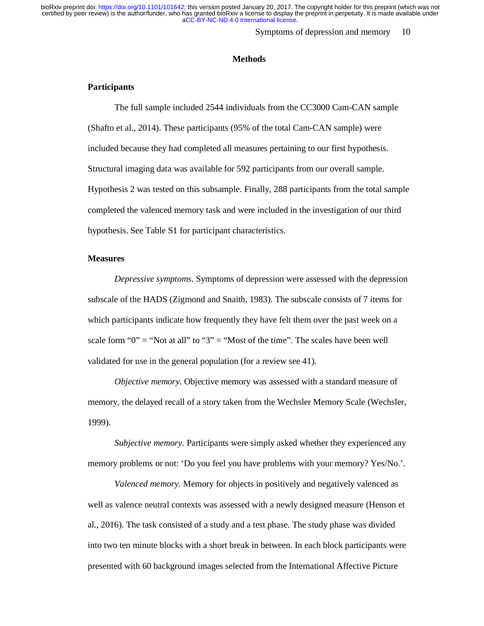Symptoms of depression and memory 10

#### **Methods**

## **Participants**

The full sample included 2544 individuals from the CC3000 Cam-CAN sample (Shafto et al., 2014). These participants (95% of the total Cam-CAN sample) were included because they had completed all measures pertaining to our first hypothesis. Structural imaging data was available for 592 participants from our overall sample. Hypothesis 2 was tested on this subsample. Finally, 288 participants from the total sample completed the valenced memory task and were included in the investigation of our third hypothesis. See Table S1 for participant characteristics.

## **Measures**

*Depressive symptoms.* Symptoms of depression were assessed with the depression subscale of the HADS (Zigmond and Snaith, 1983). The subscale consists of 7 items for which participants indicate how frequently they have felt them over the past week on a scale form "0" = "Not at all" to "3" = "Most of the time". The scales have been well validated for use in the general population (for a review see 41).

*Objective memory.* Objective memory was assessed with a standard measure of memory, the delayed recall of a story taken from the Wechsler Memory Scale (Wechsler, 1999).

*Subjective memory.* Participants were simply asked whether they experienced any memory problems or not: 'Do you feel you have problems with your memory? Yes/No.'.

*Valenced memory.* Memory for objects in positively and negatively valenced as well as valence neutral contexts was assessed with a newly designed measure (Henson et al., 2016). The task consisted of a study and a test phase. The study phase was divided into two ten minute blocks with a short break in between. In each block participants were presented with 60 background images selected from the International Affective Picture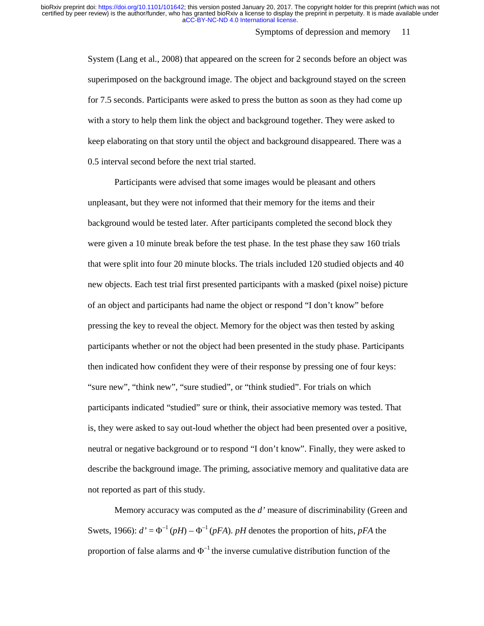#### Symptoms of depression and memory 11

System (Lang et al., 2008) that appeared on the screen for 2 seconds before an object was superimposed on the background image. The object and background stayed on the screen for 7.5 seconds. Participants were asked to press the button as soon as they had come up with a story to help them link the object and background together. They were asked to keep elaborating on that story until the object and background disappeared. There was a 0.5 interval second before the next trial started.

Participants were advised that some images would be pleasant and others unpleasant, but they were not informed that their memory for the items and their background would be tested later. After participants completed the second block they were given a 10 minute break before the test phase. In the test phase they saw 160 trials that were split into four 20 minute blocks. The trials included 120 studied objects and 40 new objects. Each test trial first presented participants with a masked (pixel noise) picture of an object and participants had name the object or respond "I don't know" before pressing the key to reveal the object. Memory for the object was then tested by asking participants whether or not the object had been presented in the study phase. Participants then indicated how confident they were of their response by pressing one of four keys: "sure new", "think new", "sure studied", or "think studied". For trials on which participants indicated "studied" sure or think, their associative memory was tested. That is, they were asked to say out-loud whether the object had been presented over a positive, neutral or negative background or to respond "I don't know". Finally, they were asked to describe the background image. The priming, associative memory and qualitative data are not reported as part of this study.

Memory accuracy was computed as the *d'* measure of discriminability (Green and Swets, 1966):  $d' = \Phi^{-1}(pH) - \Phi^{-1}(pFA)$ . *pH* denotes the proportion of hits, *pFA* the proportion of false alarms and  $\Phi^{-1}$  the inverse cumulative distribution function of the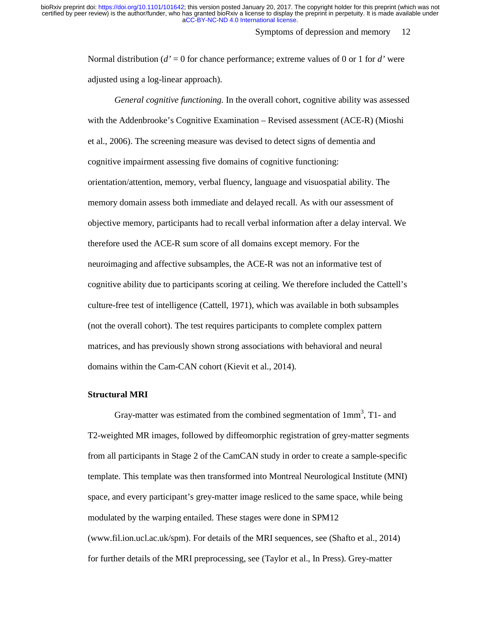#### Symptoms of depression and memory 12

Normal distribution (*d'* = 0 for chance performance; extreme values of 0 or 1 for *d'* were adjusted using a log-linear approach).

*General cognitive functioning.* In the overall cohort, cognitive ability was assessed with the Addenbrooke's Cognitive Examination – Revised assessment (ACE-R) (Mioshi et al., 2006). The screening measure was devised to detect signs of dementia and cognitive impairment assessing five domains of cognitive functioning: orientation/attention, memory, verbal fluency, language and visuospatial ability. The memory domain assess both immediate and delayed recall. As with our assessment of objective memory, participants had to recall verbal information after a delay interval. We therefore used the ACE-R sum score of all domains except memory. For the neuroimaging and affective subsamples, the ACE-R was not an informative test of cognitive ability due to participants scoring at ceiling. We therefore included the Cattell's culture-free test of intelligence (Cattell, 1971), which was available in both subsamples (not the overall cohort). The test requires participants to complete complex pattern matrices, and has previously shown strong associations with behavioral and neural domains within the Cam-CAN cohort (Kievit et al., 2014).

#### **Structural MRI**

Gray-matter was estimated from the combined segmentation of  $1mm<sup>3</sup>$ , T1- and T2-weighted MR images, followed by diffeomorphic registration of grey-matter segments from all participants in Stage 2 of the CamCAN study in order to create a sample-specific template. This template was then transformed into Montreal Neurological Institute (MNI) space, and every participant's grey-matter image resliced to the same space, while being modulated by the warping entailed. These stages were done in SPM12 (www.fil.ion.ucl.ac.uk/spm). For details of the MRI sequences, see (Shafto et al., 2014) for further details of the MRI preprocessing, see (Taylor et al., In Press). Grey-matter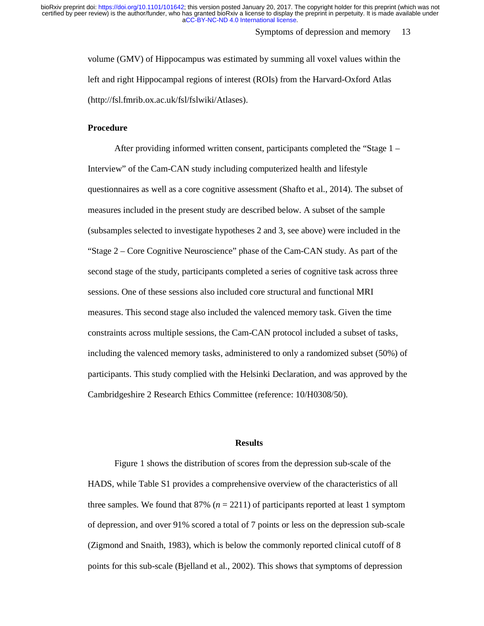Symptoms of depression and memory 13

volume (GMV) of Hippocampus was estimated by summing all voxel values within the left and right Hippocampal regions of interest (ROIs) from the Harvard-Oxford Atlas (http://fsl.fmrib.ox.ac.uk/fsl/fslwiki/Atlases).

## **Procedure**

After providing informed written consent, participants completed the "Stage 1 – Interview" of the Cam-CAN study including computerized health and lifestyle questionnaires as well as a core cognitive assessment (Shafto et al., 2014). The subset of measures included in the present study are described below. A subset of the sample (subsamples selected to investigate hypotheses 2 and 3, see above) were included in the "Stage 2 – Core Cognitive Neuroscience" phase of the Cam-CAN study. As part of the second stage of the study, participants completed a series of cognitive task across three sessions. One of these sessions also included core structural and functional MRI measures. This second stage also included the valenced memory task. Given the time constraints across multiple sessions, the Cam-CAN protocol included a subset of tasks, including the valenced memory tasks, administered to only a randomized subset (50%) of participants. This study complied with the Helsinki Declaration, and was approved by the Cambridgeshire 2 Research Ethics Committee (reference: 10/H0308/50).

## **Results**

Figure 1 shows the distribution of scores from the depression sub-scale of the HADS, while Table S1 provides a comprehensive overview of the characteristics of all three samples. We found that  $87\%$  ( $n = 2211$ ) of participants reported at least 1 symptom of depression, and over 91% scored a total of 7 points or less on the depression sub-scale (Zigmond and Snaith, 1983), which is below the commonly reported clinical cutoff of 8 points for this sub-scale (Bjelland et al., 2002). This shows that symptoms of depression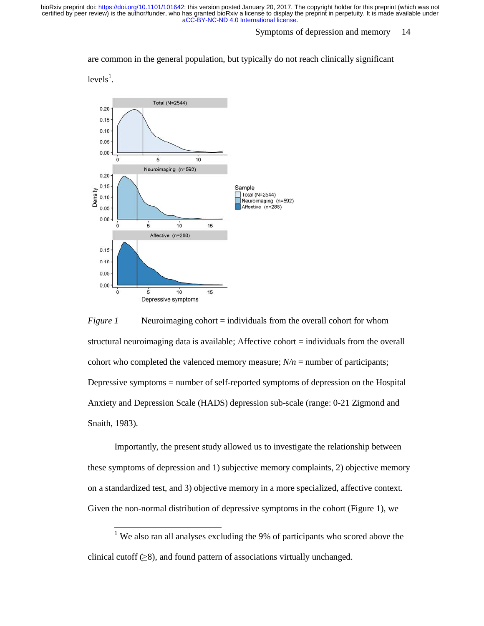### Symptoms of depression and memory 14

are common in the general population, but typically do not reach clinically significant

 $levels<sup>1</sup>$ .





Importantly, the present study allowed us to investigate the relationship between these symptoms of depression and 1) subjective memory complaints, 2) objective memory on a standardized test, and 3) objective memory in a more specialized, affective context. Given the non-normal distribution of depressive symptoms in the cohort (Figure 1), we

<sup>1</sup> We also ran all analyses excluding the 9% of participants who scored above the clinical cutoff  $(\geq 8)$ , and found pattern of associations virtually unchanged.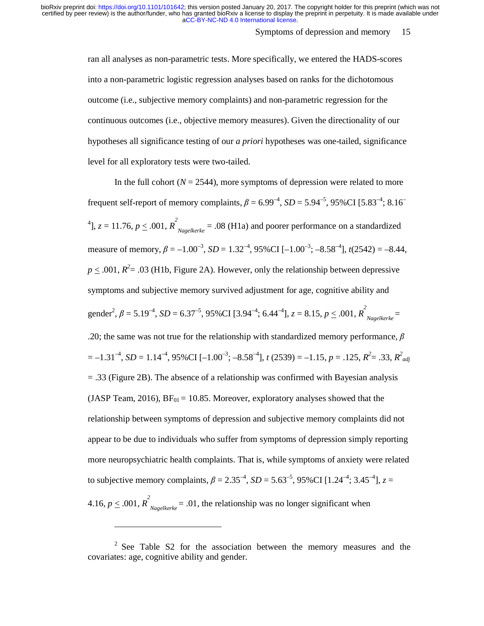#### Symptoms of depression and memory 15

ran all analyses as non-parametric tests. More specifically, we entered the HADS-scores into a non-parametric logistic regression analyses based on ranks for the dichotomous outcome (i.e., subjective memory complaints) and non-parametric regression for the continuous outcomes (i.e., objective memory measures). Given the directionality of our hypotheses all significance testing of our *a priori* hypotheses was one-tailed, significance level for all exploratory tests were two-tailed.

In the full cohort  $(N = 2544)$ , more symptoms of depression were related to more frequent self-report of memory complaints,  $\beta = 6.99^{-4}$ ,  $SD = 5.94^{-5}$ , 95%CI [5.83<sup>-4</sup>; 8.16<sup>-4</sup> <sup>4</sup>,  $z = 11.76$ ,  $p \le 0.001$ ,  $R^2_{Nagelkerke} = 0.08$  (H1a) and poorer performance on a standardized measure of memory,  $\beta = -1.00^{-3}$ ,  $SD = 1.32^{-4}$ ,  $95\%$ CI  $[-1.00^{-3}]$ ;  $-8.58^{-4}$ ],  $t(2542) = -8.44$ .  $p \leq .001$ ,  $R^2 = .03$  (H1b, Figure 2A). However, only the relationship between depressive symptoms and subjective memory survived adjustment for age, cognitive ability and gender<sup>2</sup>,  $\beta = 5.19^{-4}$ ,  $SD = 6.37^{-5}$ ,  $95\%$ CI [3.94<sup>-4</sup>;  $6.44^{-4}$ ],  $z = 8.15$ ,  $p \le .001$ ,  $R^2_{Nagelkerke}$ .20; the same was not true for the relationship with standardized memory performance,  $\beta$  $= -1.31^{-4}$ , *SD* = 1.14<sup>-4</sup>, 95%CI [-1.00<sup>-3</sup>; -8.58<sup>-4</sup>], *t* (2539) = -1.15, *p* = .125, *R*<sup>2</sup> = .33, *R*<sup>2</sup><sub>*adj*</sub> = .33 (Figure 2B). The absence of a relationship was confirmed with Bayesian analysis (JASP Team, 2016),  $BF_{01} = 10.85$ . Moreover, exploratory analyses showed that the relationship between symptoms of depression and subjective memory complaints did not appear to be due to individuals who suffer from symptoms of depression simply reporting more neuropsychiatric health complaints. That is, while symptoms of anxiety were related to subjective memory complaints,  $\beta = 2.35^{-4}$ ,  $SD = 5.63^{-5}$ , 95%CI [1.24<sup>-4</sup>; 3.45<sup>-4</sup>],  $z =$ 4.16,  $p \leq .001$ ,  $R^2_{Nagelkerke} = .01$ , the relationship was no longer significant when

 $\overline{a}$ 

<sup>&</sup>lt;sup>2</sup> See Table S2 for the association between the memory measures and the covariates: age, cognitive ability and gender.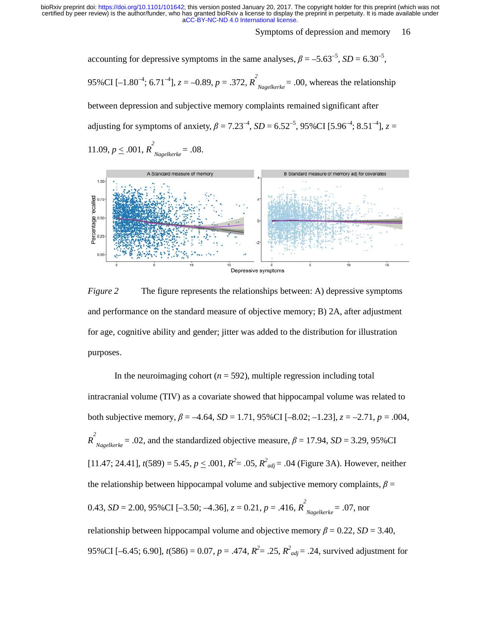Symptoms of depression and memory 16

accounting for depressive symptoms in the same analyses,  $\beta = -5.63^{-5}$ ,  $SD = 6.30^{-5}$ .

95%CI [-1.80<sup>-4</sup>; 6.71<sup>-4</sup>],  $z = -0.89$ ,  $p = .372$ ,  $R^2_{Nagelkerke} = .00$ , whereas the relationship

between depression and subjective memory complaints remained significant after adjusting for symptoms of anxiety,  $\beta = 7.23^{-4}$ ,  $SD = 6.52^{-5}$ , 95%CI [5.96<sup>-4</sup>; 8.51<sup>-4</sup>],  $z =$ 

11.09, 
$$
p \le .001
$$
,  $R^2_{Nagelkerke} = .08$ .



*Figure 2* The figure represents the relationships between: A) depressive symptoms and performance on the standard measure of objective memory; B) 2A, after adjustment for age, cognitive ability and gender; jitter was added to the distribution for illustration purposes.

In the neuroimaging cohort  $(n = 592)$ , multiple regression including total intracranial volume (TIV) as a covariate showed that hippocampal volume was related to both subjective memory,  $β = -4.64$ ,  $SD = 1.71$ ,  $95%CI [-8.02; -1.23]$ ,  $z = -2.71$ ,  $p = .004$ ,  $R$ <sup>2</sup><sub>Nagelkerke</sub> = .02, and the standardized objective measure,  $\beta$  = 17.94, *SD* = 3.29, 95%CI [11.47; 24.41],  $t(589) = 5.45$ ,  $p \le 0.001$ ,  $R^2 = 0.05$ ,  $R^2_{adj} = 0.04$  (Figure 3A). However, neither the relationship between hippocampal volume and subjective memory complaints,  $\beta$  = 0.43, *SD* = 2.00, 95%CI [-3.50; -4.36],  $z = 0.21$ ,  $p = .416$ ,  $R^2_{Nagelkerke} = .07$ , nor relationship between hippocampal volume and objective memory  $\beta = 0.22$ ,  $SD = 3.40$ , 95%CI [-6.45; 6.90],  $t(586) = 0.07$ ,  $p = .474$ ,  $R^2 = .25$ ,  $R^2_{adj} = .24$ , survived adjustment for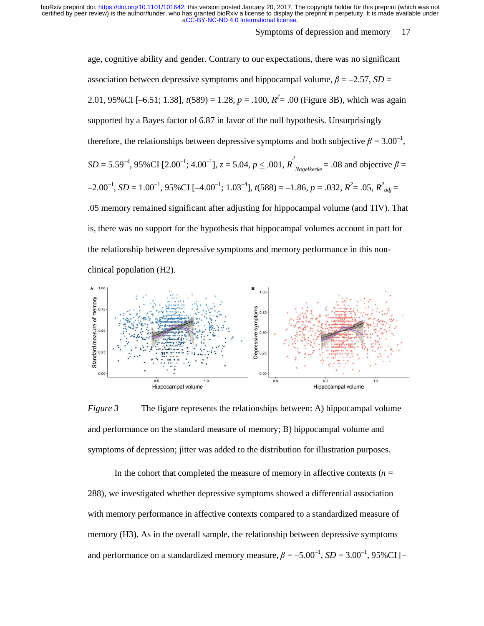Symptoms of depression and memory 17

age, cognitive ability and gender. Contrary to our expectations, there was no significant association between depressive symptoms and hippocampal volume,  $\beta = -2.57$ ,  $SD =$ 2.01, 95%CI [-6.51; 1.38],  $t(589) = 1.28$ ,  $p = .100$ ,  $R^2 = .00$  (Figure 3B), which was again supported by a Bayes factor of 6.87 in favor of the null hypothesis. Unsurprisingly therefore, the relationships between depressive symptoms and both subjective  $\beta = 3.00^{-1}$ , *SD* = 5.59<sup>-4</sup>, 95%CI [2.00<sup>-1</sup>; 4.00<sup>-1</sup>], *z* = 5.04, *p*  $\leq$  .001,  $R^2$ <sub>Nagelkerke</sub> = .08 and objective  $\beta$  =  $-2.00^{-1}$ , *SD* = 1.00<sup>-1</sup>, 95%CI [ $-4.00^{-1}$ ; 1.03<sup>-4</sup>], *t*(588) = -1.86, *p* = .032, *R*<sup>2</sup> = .05, *R*<sup>2</sup><sub>*adj*</sub> = .05 memory remained significant after adjusting for hippocampal volume (and TIV). That is, there was no support for the hypothesis that hippocampal volumes account in part for the relationship between depressive symptoms and memory performance in this non-



clinical population (H2).

*Figure 3* The figure represents the relationships between: A) hippocampal volume and performance on the standard measure of memory; B) hippocampal volume and symptoms of depression; jitter was added to the distribution for illustration purposes.

In the cohort that completed the measure of memory in affective contexts  $(n =$ 288), we investigated whether depressive symptoms showed a differential association with memory performance in affective contexts compared to a standardized measure of memory (H3). As in the overall sample, the relationship between depressive symptoms and performance on a standardized memory measure,  $\beta = -5.00^{-1}$ ,  $SD = 3.00^{-1}$ ,  $95\%CI$  [-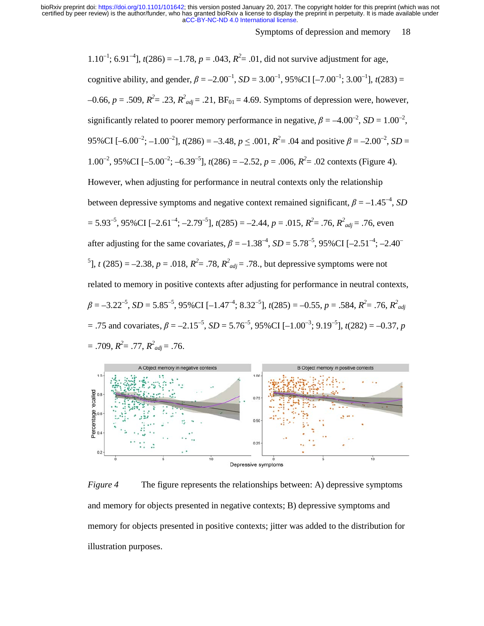Symptoms of depression and memory 18

1.10<sup>-1</sup>; 6.91<sup>-4</sup>], *t*(286) = -1.78, *p* = .043,  $R^2$  = .01, did not survive adjustment for age, cognitive ability, and gender,  $\beta = -2.00^{-1}$ ,  $SD = 3.00^{-1}$ ,  $95\% \text{CI}$  [-7.00<sup>-1</sup>; 3.00<sup>-1</sup>],  $t(283)$  =  $-0.66$ ,  $p = .509$ ,  $R^2 = .23$ ,  $R^2_{adj} = .21$ ,  $BF_{01} = 4.69$ . Symptoms of depression were, however, significantly related to poorer memory performance in negative,  $\beta = -4.00^{-2}$ ,  $SD = 1.00^{-2}$ , 95%CI [-6.00<sup>-2</sup>; -1.00<sup>-2</sup>], *t*(286) = -3.48, *p*  $\leq$  .001,  $R^2$  = .04 and positive  $\beta$  = -2.00<sup>-2</sup>, *SD* = 1.00<sup>-2</sup>, 95%CI [-5.00<sup>-2</sup>; -6.39<sup>-5</sup>], *t*(286) = -2.52, *p* = .006,  $R^2$  = .02 contexts (Figure 4). However, when adjusting for performance in neutral contexts only the relationship between depressive symptoms and negative context remained significant,  $\beta = -1.45^{-4}$ , *SD*  $= 5.93^{-5}$ , 95%CI [-2.61<sup>-4</sup>; -2.79<sup>-5</sup>], *t*(285) = -2.44, *p* = .015,  $R^2 = .76$ ,  $R^2_{adj} = .76$ , even after adjusting for the same covariates,  $\beta = -1.38^{-4}$ ,  $SD = 5.78^{-5}$ , 95%CI [-2.51<sup>-4</sup>; -2.40<sup>-</sup> <sup>5</sup>, *t* (285) = -2.38, *p* = .018,  $R^2 = .78$ ,  $R^2_{adj} = .78$ ., but depressive symptoms were not related to memory in positive contexts after adjusting for performance in neutral contexts,  $\beta = -3.22^{-5}$ , *SD* = 5.85<sup>-5</sup>, 95%CI [-1.47<sup>-4</sup>; 8.32<sup>-5</sup>],  $t(285) = -0.55$ ,  $p = .584$ ,  $R^2 = .76$ ,  $R^2_{adj}$  $=$  .75 and covariates,  $\beta = -2.15^{-5}$ ,  $SD = 5.76^{-5}$ ,  $95\%$ CI [ $-1.00^{-3}$ ;  $9.19^{-5}$ ],  $t(282) = -0.37$ , *p*  $= .709, R^2 = .77, R^2_{adj} = .76.$ 



*Figure 4* The figure represents the relationships between: A) depressive symptoms and memory for objects presented in negative contexts; B) depressive symptoms and memory for objects presented in positive contexts; jitter was added to the distribution for illustration purposes.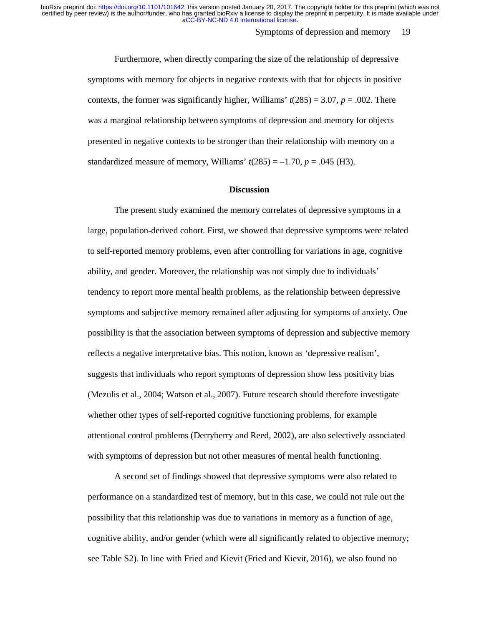#### Symptoms of depression and memory 19

Furthermore, when directly comparing the size of the relationship of depressive symptoms with memory for objects in negative contexts with that for objects in positive contexts, the former was significantly higher, Williams'  $t(285) = 3.07$ ,  $p = .002$ . There was a marginal relationship between symptoms of depression and memory for objects presented in negative contexts to be stronger than their relationship with memory on a standardized measure of memory, Williams'  $t(285) = -1.70$ ,  $p = .045$  (H3).

#### **Discussion**

The present study examined the memory correlates of depressive symptoms in a large, population-derived cohort. First, we showed that depressive symptoms were related to self-reported memory problems, even after controlling for variations in age, cognitive ability, and gender. Moreover, the relationship was not simply due to individuals' tendency to report more mental health problems, as the relationship between depressive symptoms and subjective memory remained after adjusting for symptoms of anxiety. One possibility is that the association between symptoms of depression and subjective memory reflects a negative interpretative bias. This notion, known as 'depressive realism', suggests that individuals who report symptoms of depression show less positivity bias (Mezulis et al., 2004; Watson et al., 2007). Future research should therefore investigate whether other types of self-reported cognitive functioning problems, for example attentional control problems (Derryberry and Reed, 2002), are also selectively associated with symptoms of depression but not other measures of mental health functioning.

A second set of findings showed that depressive symptoms were also related to performance on a standardized test of memory, but in this case, we could not rule out the possibility that this relationship was due to variations in memory as a function of age, cognitive ability, and/or gender (which were all significantly related to objective memory; see Table S2). In line with Fried and Kievit (Fried and Kievit, 2016), we also found no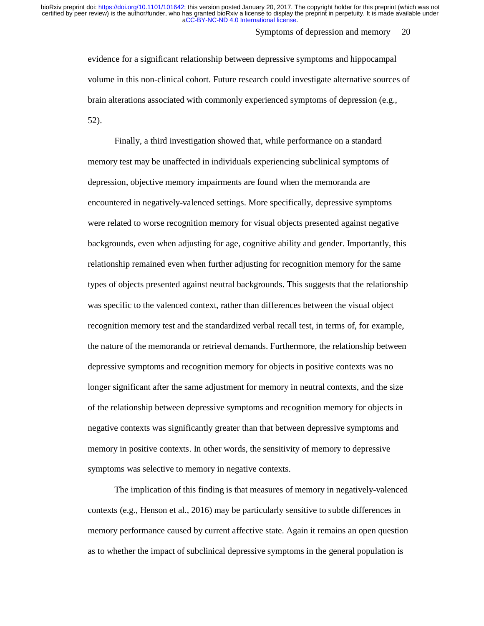Symptoms of depression and memory 20

evidence for a significant relationship between depressive symptoms and hippocampal volume in this non-clinical cohort. Future research could investigate alternative sources of brain alterations associated with commonly experienced symptoms of depression (e.g., 52).

Finally, a third investigation showed that, while performance on a standard memory test may be unaffected in individuals experiencing subclinical symptoms of depression, objective memory impairments are found when the memoranda are encountered in negatively-valenced settings. More specifically, depressive symptoms were related to worse recognition memory for visual objects presented against negative backgrounds, even when adjusting for age, cognitive ability and gender. Importantly, this relationship remained even when further adjusting for recognition memory for the same types of objects presented against neutral backgrounds. This suggests that the relationship was specific to the valenced context, rather than differences between the visual object recognition memory test and the standardized verbal recall test, in terms of, for example, the nature of the memoranda or retrieval demands. Furthermore, the relationship between depressive symptoms and recognition memory for objects in positive contexts was no longer significant after the same adjustment for memory in neutral contexts, and the size of the relationship between depressive symptoms and recognition memory for objects in negative contexts was significantly greater than that between depressive symptoms and memory in positive contexts. In other words, the sensitivity of memory to depressive symptoms was selective to memory in negative contexts.

The implication of this finding is that measures of memory in negatively-valenced contexts (e.g., Henson et al., 2016) may be particularly sensitive to subtle differences in memory performance caused by current affective state. Again it remains an open question as to whether the impact of subclinical depressive symptoms in the general population is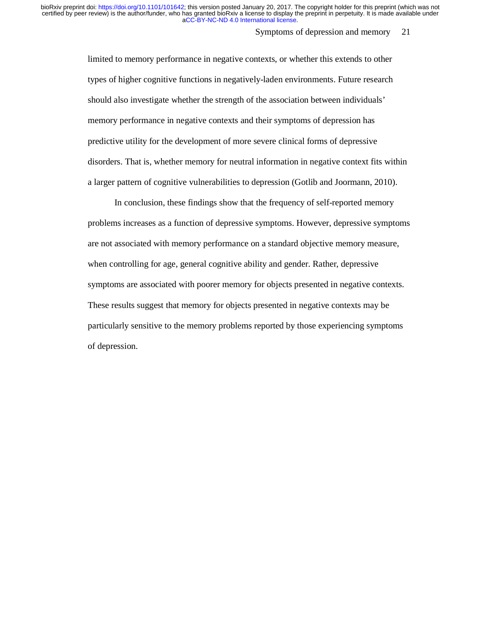Symptoms of depression and memory 21

limited to memory performance in negative contexts, or whether this extends to other types of higher cognitive functions in negatively-laden environments. Future research should also investigate whether the strength of the association between individuals' memory performance in negative contexts and their symptoms of depression has predictive utility for the development of more severe clinical forms of depressive disorders. That is, whether memory for neutral information in negative context fits within a larger pattern of cognitive vulnerabilities to depression (Gotlib and Joormann, 2010).

In conclusion, these findings show that the frequency of self-reported memory problems increases as a function of depressive symptoms. However, depressive symptoms are not associated with memory performance on a standard objective memory measure, when controlling for age, general cognitive ability and gender. Rather, depressive symptoms are associated with poorer memory for objects presented in negative contexts. These results suggest that memory for objects presented in negative contexts may be particularly sensitive to the memory problems reported by those experiencing symptoms of depression.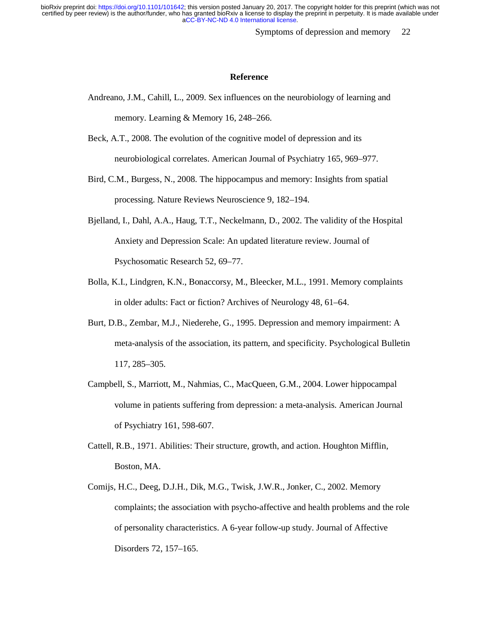Symptoms of depression and memory 22

#### **Reference**

- Andreano, J.M., Cahill, L., 2009. Sex influences on the neurobiology of learning and memory. Learning & Memory 16, 248–266.
- Beck, A.T., 2008. The evolution of the cognitive model of depression and its neurobiological correlates. American Journal of Psychiatry 165, 969–977.
- Bird, C.M., Burgess, N., 2008. The hippocampus and memory: Insights from spatial processing. Nature Reviews Neuroscience 9, 182–194.
- Bjelland, I., Dahl, A.A., Haug, T.T., Neckelmann, D., 2002. The validity of the Hospital Anxiety and Depression Scale: An updated literature review. Journal of Psychosomatic Research 52, 69–77.
- Bolla, K.I., Lindgren, K.N., Bonaccorsy, M., Bleecker, M.L., 1991. Memory complaints in older adults: Fact or fiction? Archives of Neurology 48, 61–64.
- Burt, D.B., Zembar, M.J., Niederehe, G., 1995. Depression and memory impairment: A meta-analysis of the association, its pattern, and specificity. Psychological Bulletin 117, 285–305.
- Campbell, S., Marriott, M., Nahmias, C., MacQueen, G.M., 2004. Lower hippocampal volume in patients suffering from depression: a meta-analysis. American Journal of Psychiatry 161, 598-607.
- Cattell, R.B., 1971. Abilities: Their structure, growth, and action. Houghton Mifflin, Boston, MA.
- Comijs, H.C., Deeg, D.J.H., Dik, M.G., Twisk, J.W.R., Jonker, C., 2002. Memory complaints; the association with psycho-affective and health problems and the role of personality characteristics. A 6-year follow-up study. Journal of Affective Disorders 72, 157–165.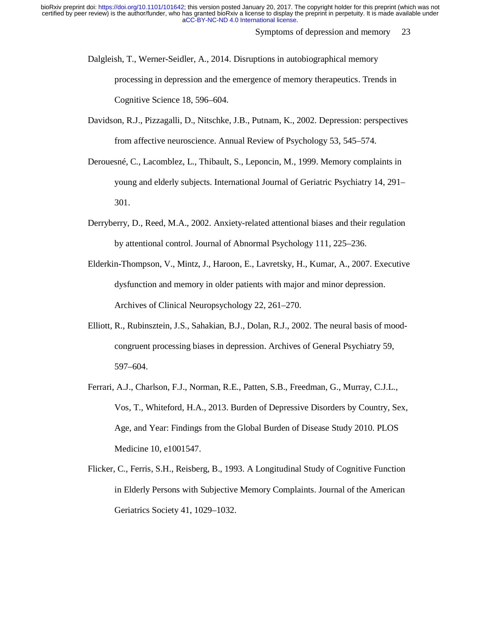Symptoms of depression and memory 23

- Dalgleish, T., Werner-Seidler, A., 2014. Disruptions in autobiographical memory processing in depression and the emergence of memory therapeutics. Trends in Cognitive Science 18, 596–604.
- Davidson, R.J., Pizzagalli, D., Nitschke, J.B., Putnam, K., 2002. Depression: perspectives from affective neuroscience. Annual Review of Psychology 53, 545–574.
- Derouesné, C., Lacomblez, L., Thibault, S., Leponcin, M., 1999. Memory complaints in young and elderly subjects. International Journal of Geriatric Psychiatry 14, 291– 301.
- Derryberry, D., Reed, M.A., 2002. Anxiety-related attentional biases and their regulation by attentional control. Journal of Abnormal Psychology 111, 225–236.
- Elderkin-Thompson, V., Mintz, J., Haroon, E., Lavretsky, H., Kumar, A., 2007. Executive dysfunction and memory in older patients with major and minor depression. Archives of Clinical Neuropsychology 22, 261–270.
- Elliott, R., Rubinsztein, J.S., Sahakian, B.J., Dolan, R.J., 2002. The neural basis of moodcongruent processing biases in depression. Archives of General Psychiatry 59, 597–604.
- Ferrari, A.J., Charlson, F.J., Norman, R.E., Patten, S.B., Freedman, G., Murray, C.J.L., Vos, T., Whiteford, H.A., 2013. Burden of Depressive Disorders by Country, Sex, Age, and Year: Findings from the Global Burden of Disease Study 2010. PLOS Medicine 10, e1001547.
- Flicker, C., Ferris, S.H., Reisberg, B., 1993. A Longitudinal Study of Cognitive Function in Elderly Persons with Subjective Memory Complaints. Journal of the American Geriatrics Society 41, 1029–1032.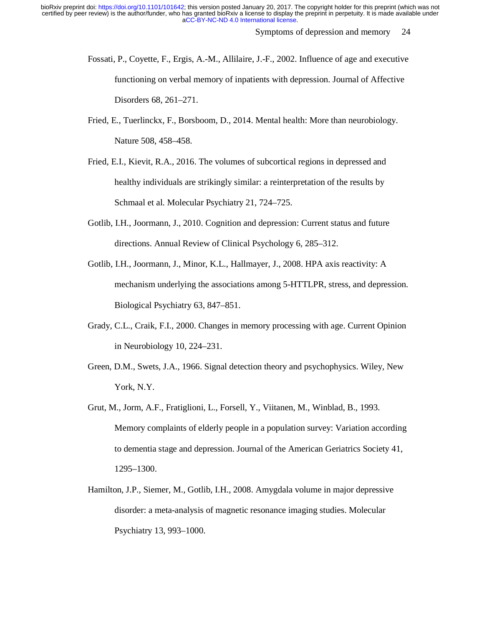Symptoms of depression and memory 24

- Fossati, P., Coyette, F., Ergis, A.-M., Allilaire, J.-F., 2002. Influence of age and executive functioning on verbal memory of inpatients with depression. Journal of Affective Disorders 68, 261–271.
- Fried, E., Tuerlinckx, F., Borsboom, D., 2014. Mental health: More than neurobiology. Nature 508, 458–458.
- Fried, E.I., Kievit, R.A., 2016. The volumes of subcortical regions in depressed and healthy individuals are strikingly similar: a reinterpretation of the results by Schmaal et al. Molecular Psychiatry 21, 724–725.
- Gotlib, I.H., Joormann, J., 2010. Cognition and depression: Current status and future directions. Annual Review of Clinical Psychology 6, 285–312.
- Gotlib, I.H., Joormann, J., Minor, K.L., Hallmayer, J., 2008. HPA axis reactivity: A mechanism underlying the associations among 5-HTTLPR, stress, and depression. Biological Psychiatry 63, 847–851.
- Grady, C.L., Craik, F.I., 2000. Changes in memory processing with age. Current Opinion in Neurobiology 10, 224–231.
- Green, D.M., Swets, J.A., 1966. Signal detection theory and psychophysics. Wiley, New York, N.Y.
- Grut, M., Jorm, A.F., Fratiglioni, L., Forsell, Y., Viitanen, M., Winblad, B., 1993. Memory complaints of elderly people in a population survey: Variation according to dementia stage and depression. Journal of the American Geriatrics Society 41, 1295–1300.
- Hamilton, J.P., Siemer, M., Gotlib, I.H., 2008. Amygdala volume in major depressive disorder: a meta-analysis of magnetic resonance imaging studies. Molecular Psychiatry 13, 993–1000.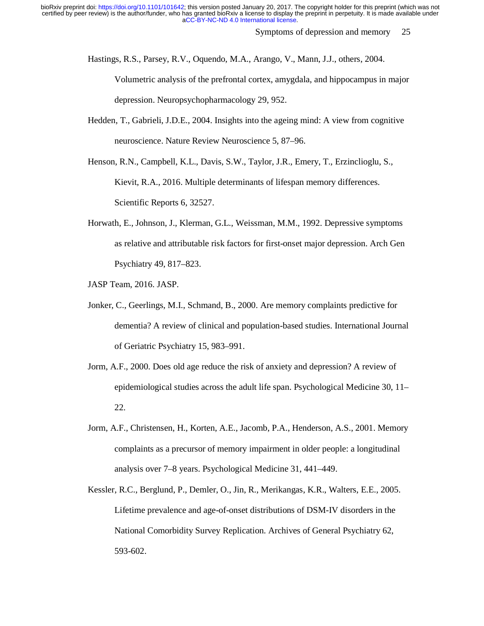Symptoms of depression and memory 25

Hastings, R.S., Parsey, R.V., Oquendo, M.A., Arango, V., Mann, J.J., others, 2004.

Volumetric analysis of the prefrontal cortex, amygdala, and hippocampus in major depression. Neuropsychopharmacology 29, 952.

Hedden, T., Gabrieli, J.D.E., 2004. Insights into the ageing mind: A view from cognitive neuroscience. Nature Review Neuroscience 5, 87–96.

Henson, R.N., Campbell, K.L., Davis, S.W., Taylor, J.R., Emery, T., Erzinclioglu, S., Kievit, R.A., 2016. Multiple determinants of lifespan memory differences. Scientific Reports 6, 32527.

- Horwath, E., Johnson, J., Klerman, G.L., Weissman, M.M., 1992. Depressive symptoms as relative and attributable risk factors for first-onset major depression. Arch Gen Psychiatry 49, 817–823.
- JASP Team, 2016. JASP.
- Jonker, C., Geerlings, M.I., Schmand, B., 2000. Are memory complaints predictive for dementia? A review of clinical and population-based studies. International Journal of Geriatric Psychiatry 15, 983–991.
- Jorm, A.F., 2000. Does old age reduce the risk of anxiety and depression? A review of epidemiological studies across the adult life span. Psychological Medicine 30, 11– 22.
- Jorm, A.F., Christensen, H., Korten, A.E., Jacomb, P.A., Henderson, A.S., 2001. Memory complaints as a precursor of memory impairment in older people: a longitudinal analysis over 7–8 years. Psychological Medicine 31, 441–449.
- Kessler, R.C., Berglund, P., Demler, O., Jin, R., Merikangas, K.R., Walters, E.E., 2005. Lifetime prevalence and age-of-onset distributions of DSM-IV disorders in the National Comorbidity Survey Replication. Archives of General Psychiatry 62, 593-602.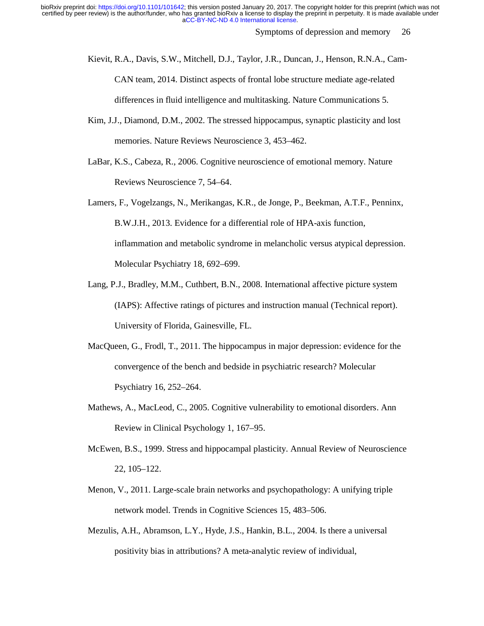Symptoms of depression and memory 26

Kievit, R.A., Davis, S.W., Mitchell, D.J., Taylor, J.R., Duncan, J., Henson, R.N.A., Cam-CAN team, 2014. Distinct aspects of frontal lobe structure mediate age-related differences in fluid intelligence and multitasking. Nature Communications 5.

- Kim, J.J., Diamond, D.M., 2002. The stressed hippocampus, synaptic plasticity and lost memories. Nature Reviews Neuroscience 3, 453–462.
- LaBar, K.S., Cabeza, R., 2006. Cognitive neuroscience of emotional memory. Nature Reviews Neuroscience 7, 54–64.
- Lamers, F., Vogelzangs, N., Merikangas, K.R., de Jonge, P., Beekman, A.T.F., Penninx, B.W.J.H., 2013. Evidence for a differential role of HPA-axis function, inflammation and metabolic syndrome in melancholic versus atypical depression. Molecular Psychiatry 18, 692–699.
- Lang, P.J., Bradley, M.M., Cuthbert, B.N., 2008. International affective picture system (IAPS): Affective ratings of pictures and instruction manual (Technical report). University of Florida, Gainesville, FL.
- MacQueen, G., Frodl, T., 2011. The hippocampus in major depression: evidence for the convergence of the bench and bedside in psychiatric research? Molecular Psychiatry 16, 252–264.
- Mathews, A., MacLeod, C., 2005. Cognitive vulnerability to emotional disorders. Ann Review in Clinical Psychology 1, 167–95.
- McEwen, B.S., 1999. Stress and hippocampal plasticity. Annual Review of Neuroscience 22, 105–122.
- Menon, V., 2011. Large-scale brain networks and psychopathology: A unifying triple network model. Trends in Cognitive Sciences 15, 483–506.
- Mezulis, A.H., Abramson, L.Y., Hyde, J.S., Hankin, B.L., 2004. Is there a universal positivity bias in attributions? A meta-analytic review of individual,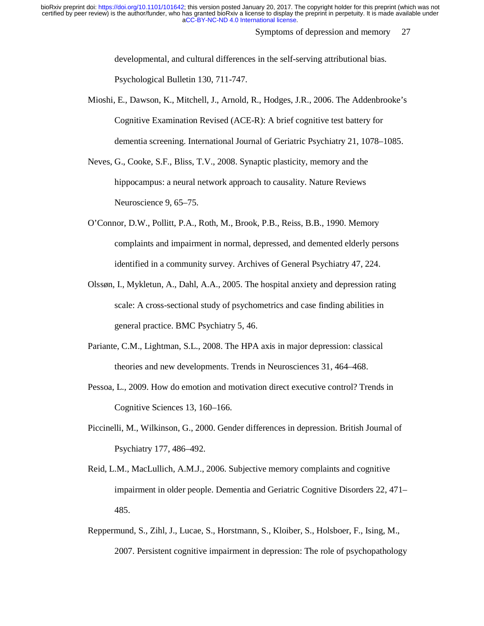Symptoms of depression and memory 27

developmental, and cultural differences in the self-serving attributional bias. Psychological Bulletin 130, 711-747.

Mioshi, E., Dawson, K., Mitchell, J., Arnold, R., Hodges, J.R., 2006. The Addenbrooke's Cognitive Examination Revised (ACE-R): A brief cognitive test battery for dementia screening. International Journal of Geriatric Psychiatry 21, 1078–1085.

Neves, G., Cooke, S.F., Bliss, T.V., 2008. Synaptic plasticity, memory and the hippocampus: a neural network approach to causality. Nature Reviews Neuroscience 9, 65–75.

- O'Connor, D.W., Pollitt, P.A., Roth, M., Brook, P.B., Reiss, B.B., 1990. Memory complaints and impairment in normal, depressed, and demented elderly persons identified in a community survey. Archives of General Psychiatry 47, 224.
- Olssøn, I., Mykletun, A., Dahl, A.A., 2005. The hospital anxiety and depression rating scale: A cross-sectional study of psychometrics and case finding abilities in general practice. BMC Psychiatry 5, 46.
- Pariante, C.M., Lightman, S.L., 2008. The HPA axis in major depression: classical theories and new developments. Trends in Neurosciences 31, 464–468.
- Pessoa, L., 2009. How do emotion and motivation direct executive control? Trends in Cognitive Sciences 13, 160–166.
- Piccinelli, M., Wilkinson, G., 2000. Gender differences in depression. British Journal of Psychiatry 177, 486–492.
- Reid, L.M., MacLullich, A.M.J., 2006. Subjective memory complaints and cognitive impairment in older people. Dementia and Geriatric Cognitive Disorders 22, 471– 485.
- Reppermund, S., Zihl, J., Lucae, S., Horstmann, S., Kloiber, S., Holsboer, F., Ising, M., 2007. Persistent cognitive impairment in depression: The role of psychopathology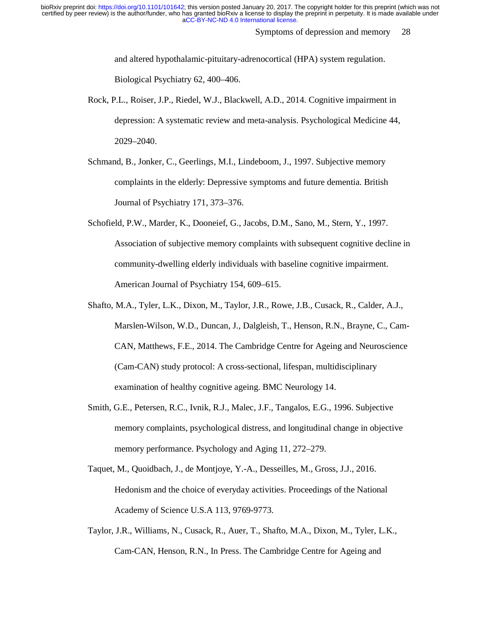Symptoms of depression and memory 28

and altered hypothalamic-pituitary-adrenocortical (HPA) system regulation. Biological Psychiatry 62, 400–406.

Rock, P.L., Roiser, J.P., Riedel, W.J., Blackwell, A.D., 2014. Cognitive impairment in depression: A systematic review and meta-analysis. Psychological Medicine 44, 2029–2040.

Schmand, B., Jonker, C., Geerlings, M.I., Lindeboom, J., 1997. Subjective memory complaints in the elderly: Depressive symptoms and future dementia. British Journal of Psychiatry 171, 373–376.

- Schofield, P.W., Marder, K., Dooneief, G., Jacobs, D.M., Sano, M., Stern, Y., 1997. Association of subjective memory complaints with subsequent cognitive decline in community-dwelling elderly individuals with baseline cognitive impairment. American Journal of Psychiatry 154, 609–615.
- Shafto, M.A., Tyler, L.K., Dixon, M., Taylor, J.R., Rowe, J.B., Cusack, R., Calder, A.J., Marslen-Wilson, W.D., Duncan, J., Dalgleish, T., Henson, R.N., Brayne, C., Cam-CAN, Matthews, F.E., 2014. The Cambridge Centre for Ageing and Neuroscience (Cam-CAN) study protocol: A cross-sectional, lifespan, multidisciplinary examination of healthy cognitive ageing. BMC Neurology 14.
- Smith, G.E., Petersen, R.C., Ivnik, R.J., Malec, J.F., Tangalos, E.G., 1996. Subjective memory complaints, psychological distress, and longitudinal change in objective memory performance. Psychology and Aging 11, 272–279.
- Taquet, M., Quoidbach, J., de Montjoye, Y.-A., Desseilles, M., Gross, J.J., 2016. Hedonism and the choice of everyday activities. Proceedings of the National Academy of Science U.S.A 113, 9769-9773.
- Taylor, J.R., Williams, N., Cusack, R., Auer, T., Shafto, M.A., Dixon, M., Tyler, L.K., Cam-CAN, Henson, R.N., In Press. The Cambridge Centre for Ageing and